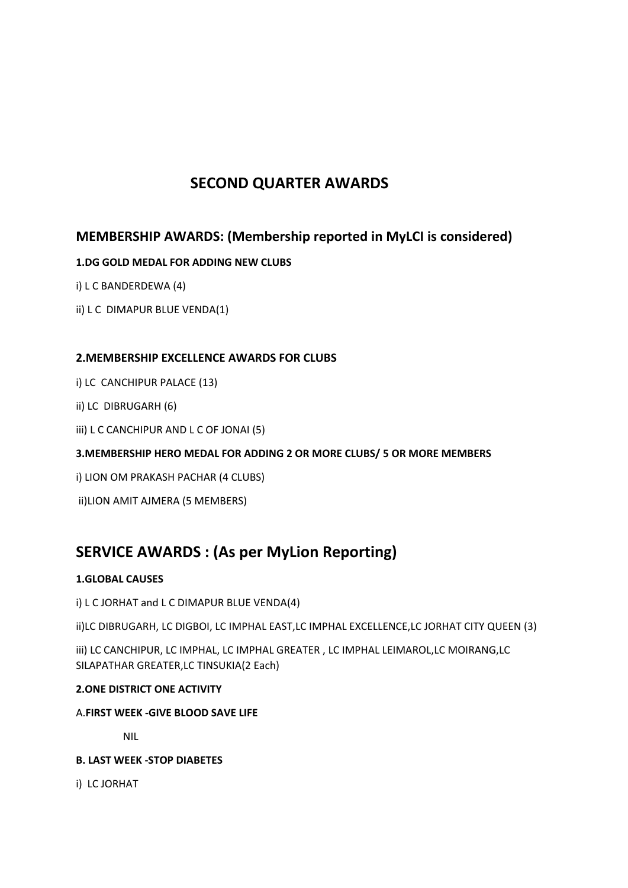# **SECOND QUARTER AWARDS**

## **MEMBERSHIP AWARDS: (Membership reported in MyLCI is considered)**

### **1.DG GOLD MEDAL FOR ADDING NEW CLUBS**

- i) L C BANDERDEWA (4)
- ii) L C DIMAPUR BLUE VENDA(1)

### **2.MEMBERSHIP EXCELLENCE AWARDS FOR CLUBS**

- i) LC CANCHIPUR PALACE (13)
- ii) LC DIBRUGARH (6)
- iii) L C CANCHIPUR AND L C OF JONAI (5)

### **3.MEMBERSHIP HERO MEDAL FOR ADDING 2 OR MORE CLUBS/ 5 OR MORE MEMBERS**

- i) LION OM PRAKASH PACHAR (4 CLUBS)
- ii)LION AMIT AJMERA (5 MEMBERS)

# **SERVICE AWARDS : (As per MyLion Reporting)**

### **1.GLOBAL CAUSES**

i) L C JORHAT and L C DIMAPUR BLUE VENDA(4)

ii)LC DIBRUGARH, LC DIGBOI, LC IMPHAL EAST,LC IMPHAL EXCELLENCE,LC JORHAT CITY QUEEN (3)

iii) LC CANCHIPUR, LC IMPHAL, LC IMPHAL GREATER , LC IMPHAL LEIMAROL,LC MOIRANG,LC SILAPATHAR GREATER,LC TINSUKIA(2 Each)

### **2.ONE DISTRICT ONE ACTIVITY**

### A.**FIRST WEEK -GIVE BLOOD SAVE LIFE**

NIL

### **B. LAST WEEK -STOP DIABETES**

i) LC JORHAT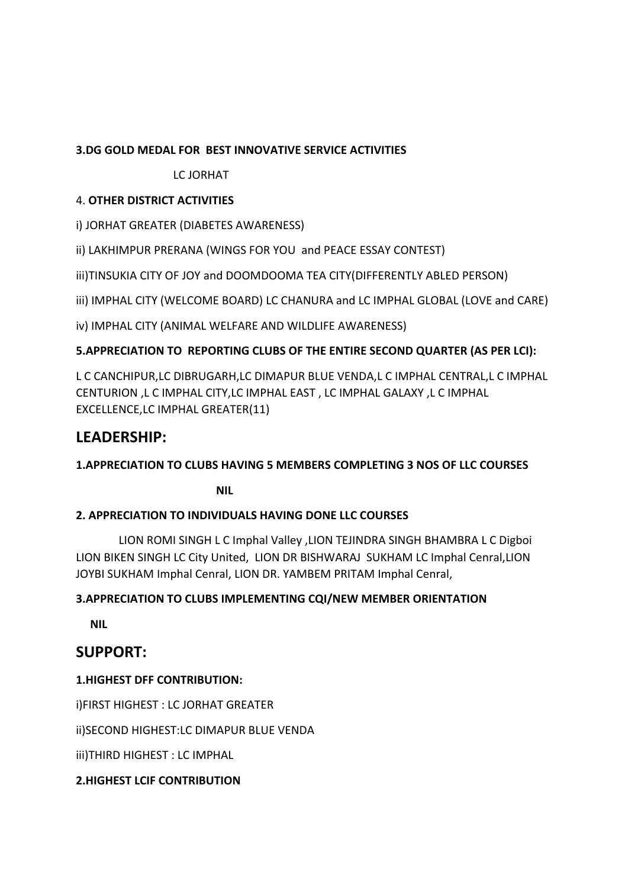### **3.DG GOLD MEDAL FOR BEST INNOVATIVE SERVICE ACTIVITIES**

### LC JORHAT

### 4. **OTHER DISTRICT ACTIVITIES**

i) JORHAT GREATER (DIABETES AWARENESS)

ii) LAKHIMPUR PRERANA (WINGS FOR YOU and PEACE ESSAY CONTEST)

iii)TINSUKIA CITY OF JOY and DOOMDOOMA TEA CITY(DIFFERENTLY ABLED PERSON)

iii) IMPHAL CITY (WELCOME BOARD) LC CHANURA and LC IMPHAL GLOBAL (LOVE and CARE)

iv) IMPHAL CITY (ANIMAL WELFARE AND WILDLIFE AWARENESS)

## **5.APPRECIATION TO REPORTING CLUBS OF THE ENTIRE SECOND QUARTER (AS PER LCI):**

L C CANCHIPUR,LC DIBRUGARH,LC DIMAPUR BLUE VENDA,L C IMPHAL CENTRAL,L C IMPHAL CENTURION ,L C IMPHAL CITY,LC IMPHAL EAST , LC IMPHAL GALAXY ,L C IMPHAL EXCELLENCE,LC IMPHAL GREATER(11)

# **LEADERSHIP:**

## **1.APPRECIATION TO CLUBS HAVING 5 MEMBERS COMPLETING 3 NOS OF LLC COURSES**

*NIL* 

## **2. APPRECIATION TO INDIVIDUALS HAVING DONE LLC COURSES**

 LION ROMI SINGH L C Imphal Valley ,LION TEJINDRA SINGH BHAMBRA L C Digboi LION BIKEN SINGH LC City United, LION DR BISHWARAJ SUKHAM LC Imphal Cenral,LION JOYBI SUKHAM Imphal Cenral, LION DR. YAMBEM PRITAM Imphal Cenral,

## **3.APPRECIATION TO CLUBS IMPLEMENTING CQI/NEW MEMBER ORIENTATION**

 **NIL**

# **SUPPORT:**

## **1.HIGHEST DFF CONTRIBUTION:**

i)FIRST HIGHEST : LC JORHAT GREATER

ii)SECOND HIGHEST:LC DIMAPUR BLUE VENDA

iii)THIRD HIGHEST : LC IMPHAL

## **2.HIGHEST LCIF CONTRIBUTION**